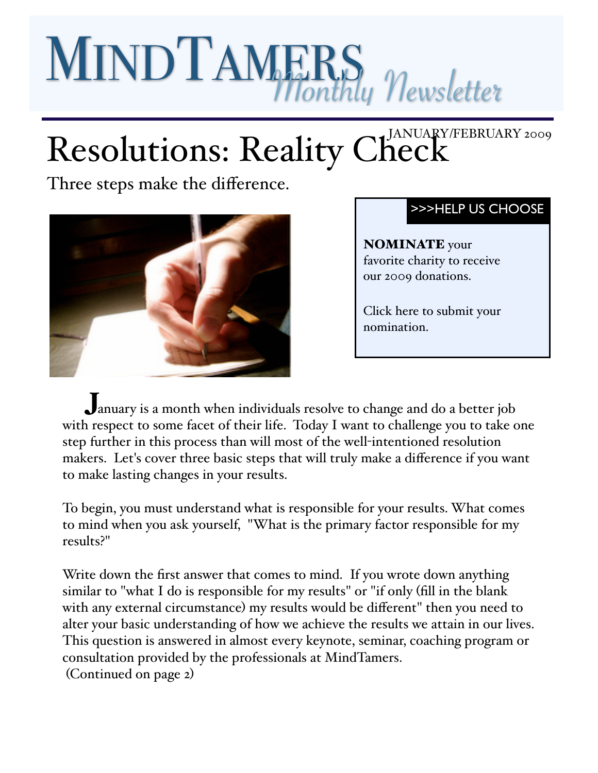# MINDTAMERS Newsletter

# Resolutions: Reality Check

Three steps make the difference.



## [>>>HELP US CHOOSE](http://www.mindtamers.com/charity.php)

NOMINATE your favorite charity to receive our 2009 donations.

[Click here to submit your](http://www.mindtamers.com/charity.php)  [nomination.](http://www.mindtamers.com/charity.php)

J anuary is a month when individuals resolve to change and do a better job with respect to some facet of their life. Today I want to challenge you to take one step further in this process than will most of the well-intentioned resolution makers. Let's cover three basic steps that will truly make a difference if you want to make lasting changes in your results.

To begin, you must understand what is responsible for your results. What comes to mind when you ask yourself, "What is the primary factor responsible for my results?"

Write down the first answer that comes to mind. If you wrote down anything similar to "what I do is responsible for my results" or "if only (fill in the blank with any external circumstance) my results would be different" then you need to alter your basic understanding of how we achieve the results we attain in our lives. This question is answered in almost every keynote, seminar, coaching program or consultation provided by the professionals at MindTamers. (Continued on page 2)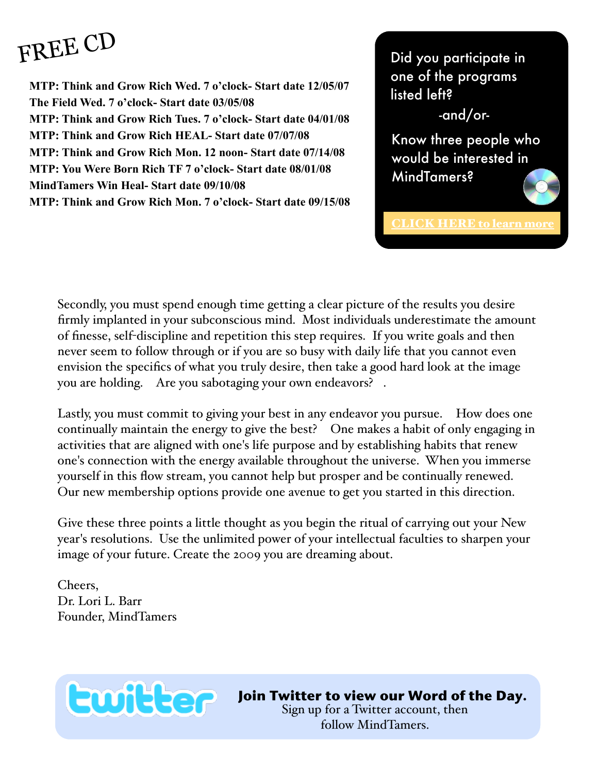# [FREE CD](http://www.mindtamers.com/freecd.html)

**MTP: Think and Grow Rich Wed. 7 o'clock- Start date 12/05/07 The Field Wed. 7 o'clock- Start date 03/05/08 MTP: Think and Grow Rich Tues. 7 o'clock- Start date 04/01/08 MTP: Think and Grow Rich HEAL- Start date 07/07/08 MTP: Think and Grow Rich Mon. 12 noon- Start date 07/14/08 MTP: You Were Born Rich TF 7 o'clock- Start date 08/01/08 MindTamers Win Heal- Start date 09/10/08 MTP: Think and Grow Rich Mon. 7 o'clock- Start date 09/15/08** Did you participate in one of the programs listed left?

-and/or-

Know three people who would be interested in MindTamers?

[CLICK HERE to learn more](http://www.mindtamers.com/freecd.html)

Secondly, you must spend enough time getting a clear picture of the results you desire firmly implanted in your subconscious mind. Most individuals underestimate the amount of finesse, self-discipline and repetition this step requires. If you write goals and then never seem to follow through or if you are so busy with daily life that you cannot even envision the specifics of what you truly desire, then take a good hard look at the image you are holding. Are you sabotaging your own endeavors? .

Lastly, you must commit to giving your best in any endeavor you pursue. How does one continually maintain the energy to give the best? One makes a habit of only engaging in activities that are aligned with one's life purpose and by establishing habits that renew one's connection with the energy available throughout the universe. When you immerse yourself in this flow stream, you cannot help but prosper and be continually renewed. Our new membership options provide one avenue to get you started in this direction.

Give these three points a little thought as you begin the ritual of carrying out your New year's resolutions. Use the unlimited power of your intellectual faculties to sharpen your image of your future. Create the 2009 you are dreaming about.

Cheers, Dr. Lori L. Barr Founder, MindTamers



**[Join Twitter to view our Word of the Day.](http://www.twitter.com)** 

[Sign up for a Twitter account, then](http://www.twitter.com)  [follow MindTamers.](http://www.twitter.com)